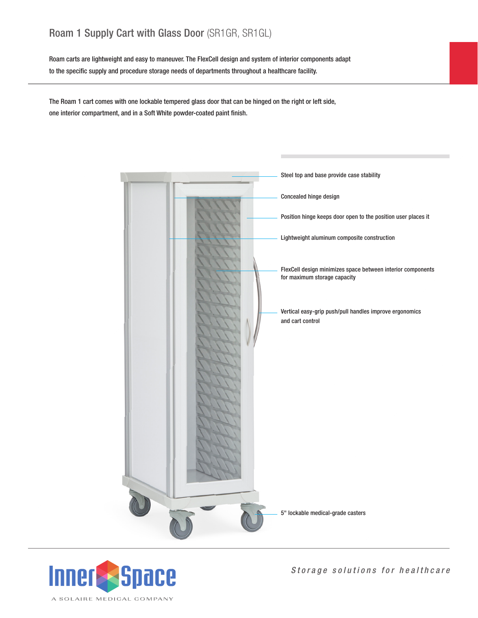## Roam 1 Supply Cart with Glass Door (SR1GR, SR1GL)

Roam carts are lightweight and easy to maneuver. The FlexCell design and system of interior components adapt to the specific supply and procedure storage needs of departments throughout a healthcare facility.

The Roam 1 cart comes with one lockable tempered glass door that can be hinged on the right or left side, one interior compartment, and in a Soft White powder-coated paint finish.





*Storage solutions for healthcare*